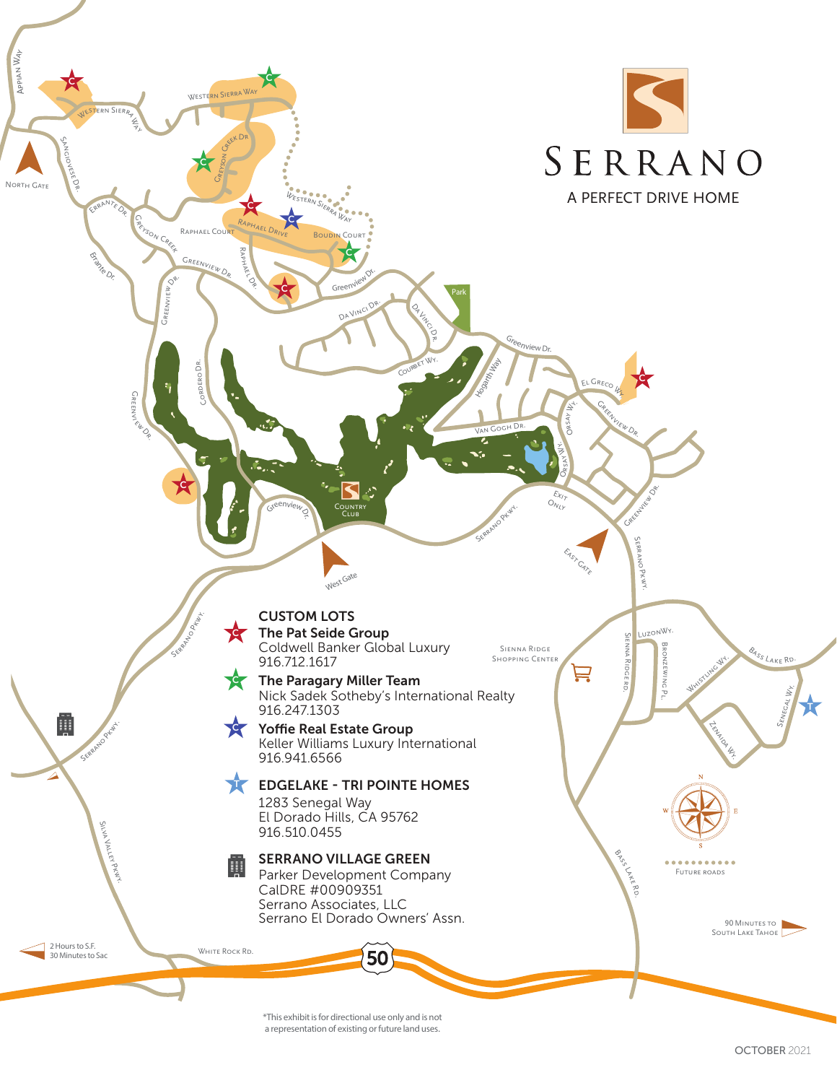

\*This exhibit is for directional use only and is not a representation of existing or future land uses.